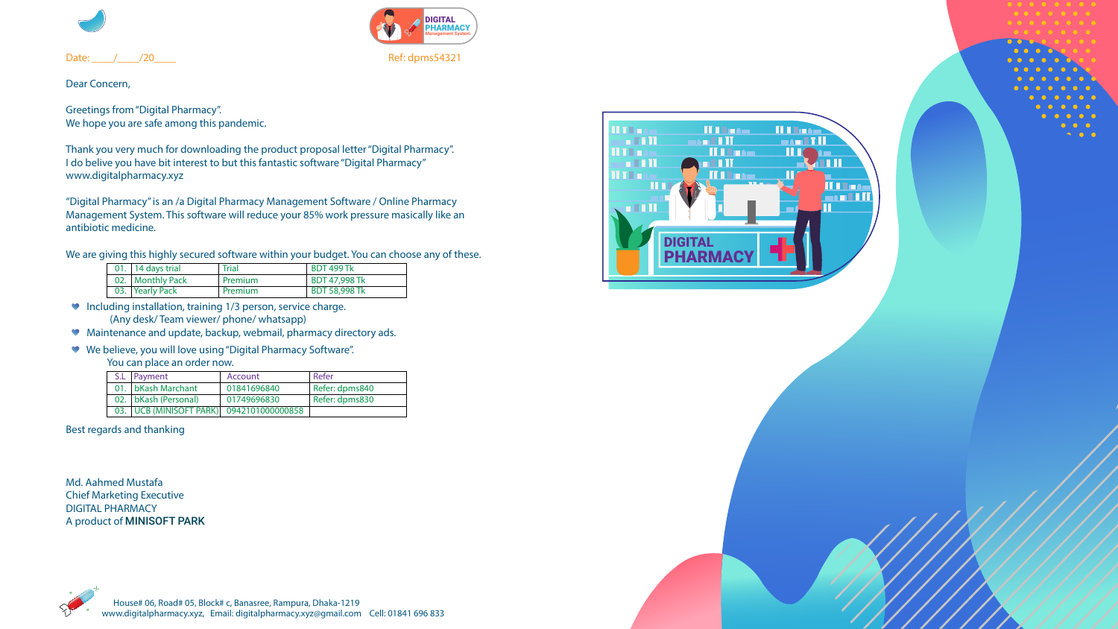



Date: \_\_\_\_/\_\_\_\_/20\_\_\_\_ Ref: dpms54321

Dear Concern,

Greetings from "Digital Pharmacy". We hope you are safe among this pandemic.

Thank you very much for downloading the product proposal letter "Digital Pharmacy". I do belive you have bit interest to but this fantastic software "Digital Pharmacy" www.digitalpharmacy.xyz

"Digital Pharmacy" is an /a Digital Pharmacy Management Software / Online Pharmacy Management System. This software will reduce your 85% work pressure masically like an antibiotic medicine.

We are giving this highly secured software within your budget. You can choose any of these.

- Including installation, training 1/3 person, service charge. (Any desk/ Team viewer/ phone/ whatsapp)
- Maintenance and update, backup, webmail, pharmacy directory ads.
- We believe, you will love using "Digital Pharmacy Software".
	- You can place an order now.

### Best regards and thanking

Md. Aahmed Mustafa Chief Marketing Executive DIGITAL PHARMACY A product of MINISOFT PARK



| 01.   14 days trial | <b>Trial</b> | <b>BDT 499 Tk</b>    |
|---------------------|--------------|----------------------|
| 02.   Monthly Pack  | Premium      | <b>BDT 47,998 Tk</b> |
| 03. Yearly Pack     | Premium      | <b>BDT 58,998 Tk</b> |

| S.L   Payment                               | Account     | Refer          |
|---------------------------------------------|-------------|----------------|
| 01. bKash Marchant                          | 01841696840 | Refer: dpms840 |
| 02. bKash (Personal)                        | 01749696830 | Refer: dpms830 |
| 03.   UCB (MINISOFT PARK)  0942101000000858 |             |                |





 $\sqrt{111}$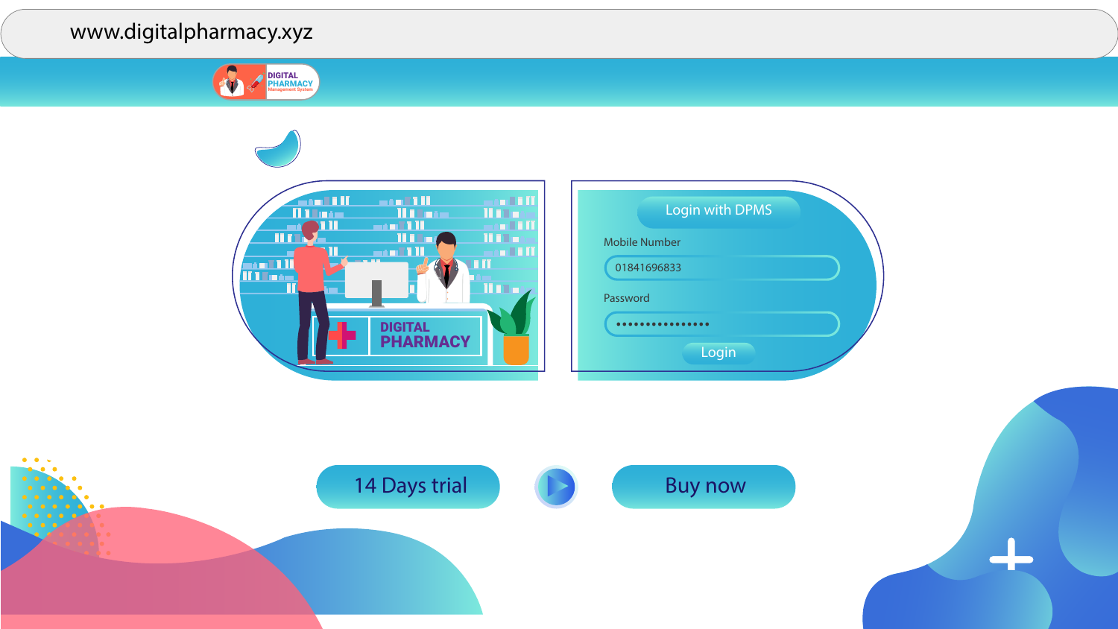





## www.digitalpharmacy.xyz



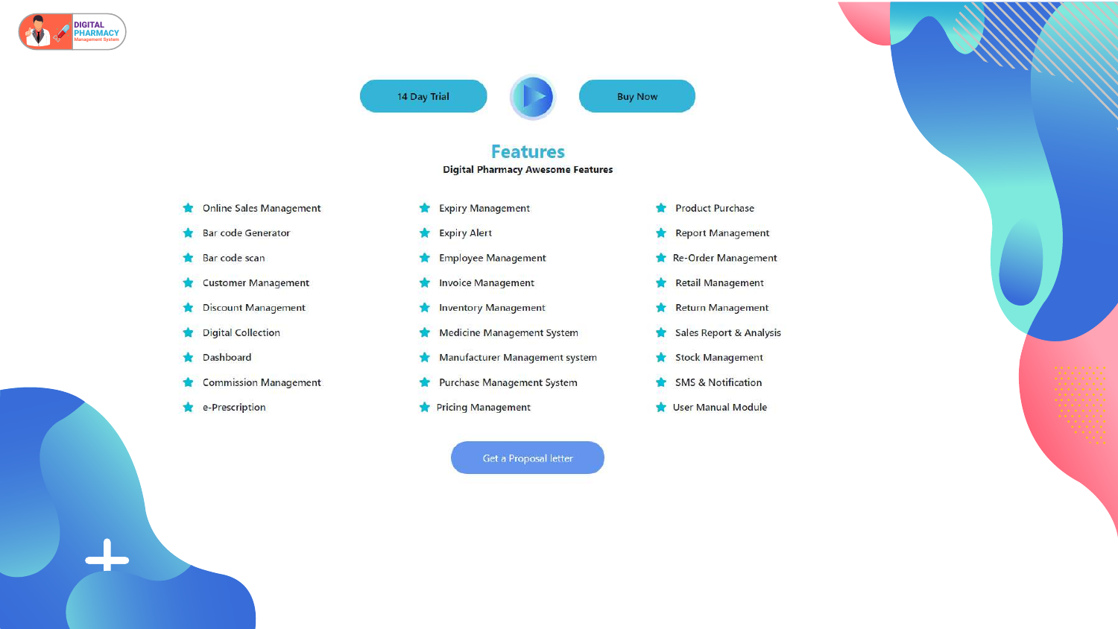

14 Day Trial









## **Features**

### **Digital Pharmacy Awesome Features**

- 
- 
- 
- 
- 
- 
- 
- 

### Get a Proposal letter

- Product Purchase
- Report Management
- Re-Order Management
- Retail Management
- Return Management
- Sales Report & Analysis
- Stock Management
- SMS & Notification
- User Manual Module

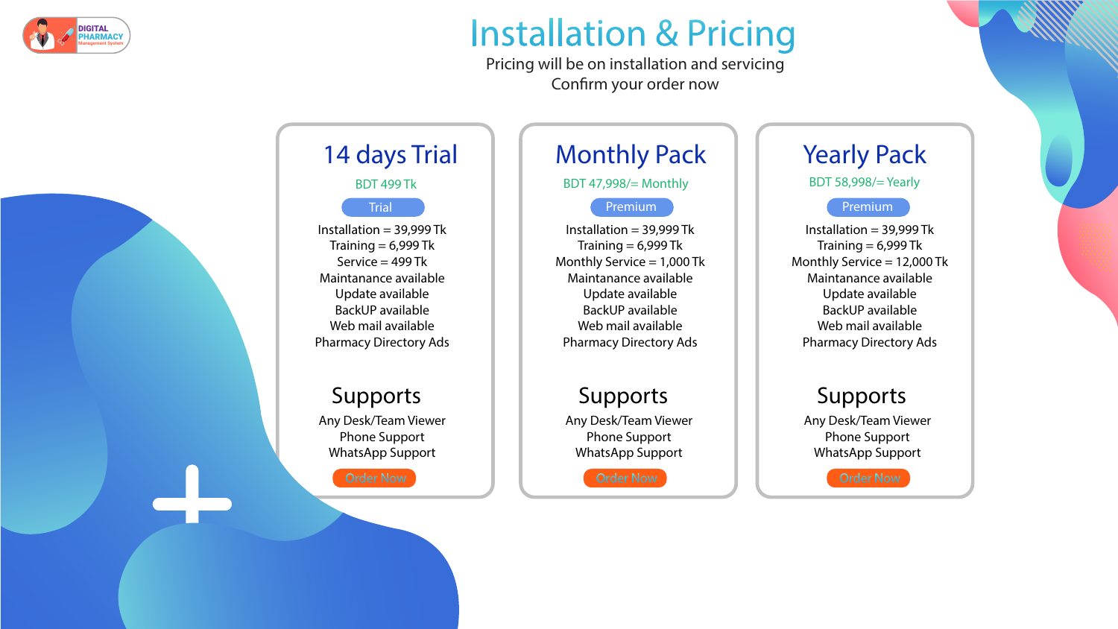# **Installation & Pricing** Pricing will be on installation and servicing

# 14 days Trial

# Supports

Installation  $=$  39,999 Tk Training  $= 6,999$  Tk Monthly Service  $= 1,000$  Tk Maintanance available Update available BackUP available Web mail available Pharmacy Directory Ads

Installation  $=$  39,999 Tk Training  $= 6,999$  Tk Monthly Service  $= 12,000$  Tk Maintanance available Update available BackUP available Web mail available Pharmacy Directory Ads

Installation =  $39,999$  Tk Training  $= 6,999$  Tk Service  $=$  499 Tk Maintanance available Update available BackUP available Web mail available Pharmacy Directory Ads BDT 58,998/= Yearly

Any Desk/Team Viewer Phone Support WhatsApp Support

# Supports

Any Desk/Team Viewer Phone Support WhatsApp Support



## Supports

Any Desk/Team Viewer Phone Support WhatsApp Support

Confirm your order now

# Monthly Pack | | Yearly Pack

BDT 499 Tk **BDT 47,998/= Monthly** 

## Trial Premium Premium Premium Premium Premium

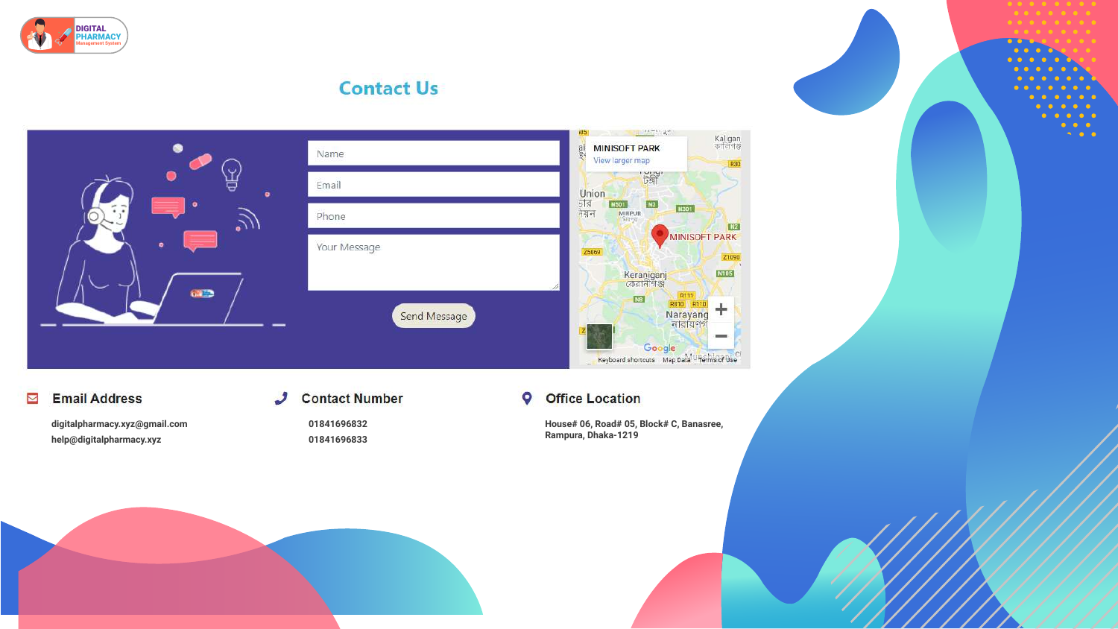

## **Contact Us**



## **Email Address**

 $\overline{\mathbf{N}}$ 

digitalpharmacy.xyz@gmail.com help@digitalpharmacy.xyz

### **Contact Number**  $\boldsymbol{J}$

01841696832 01841696833





### **Office Location**  $\bullet$

House# 06, Road# 05, Block# C, Banasree, Rampura, Dhaka-1219



 $\bullet$   $\bullet$  $\bullet$   $\bullet$ 

 $1111$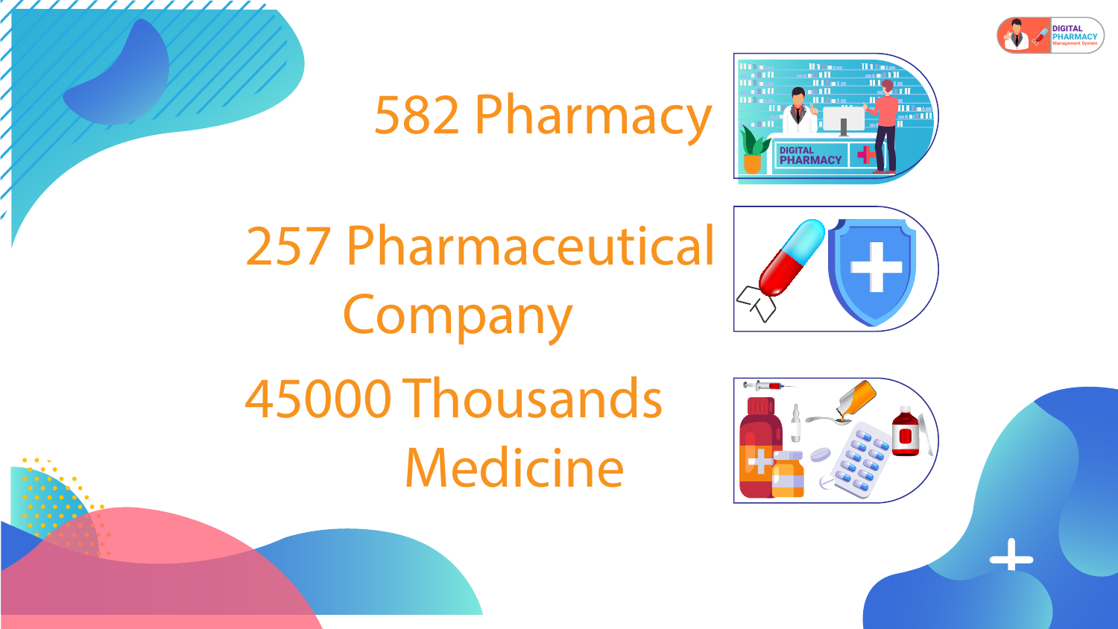# 582 Pharmacy

# 257 Pharmaceutical Company 45000 Thousands Medicine











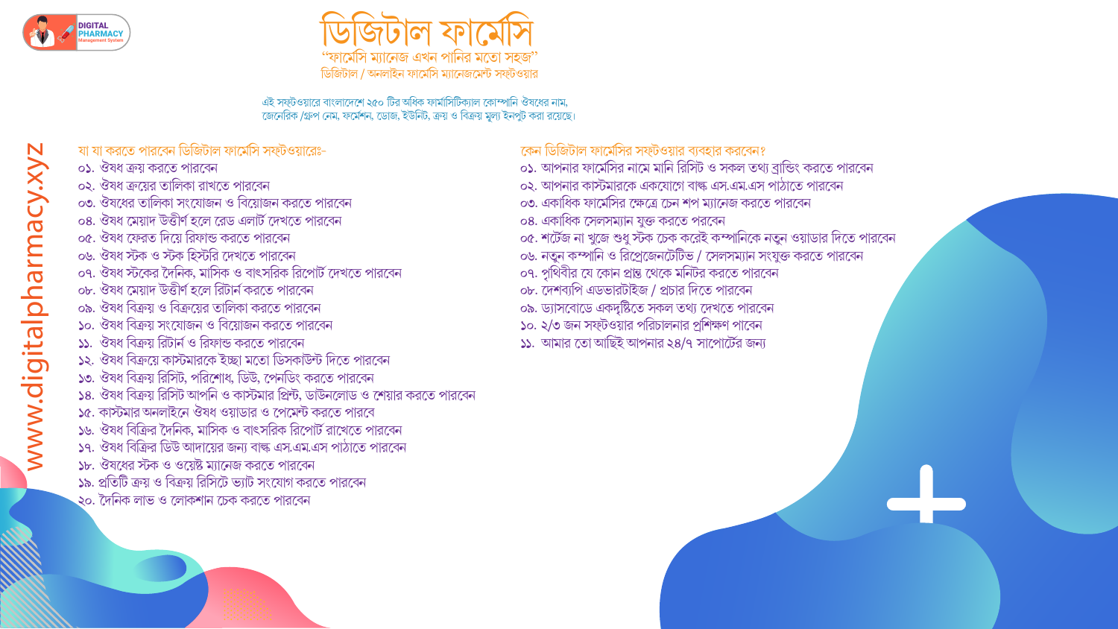

"ফার্মেসি ম্যানেজ এখন পানির মতো সহজ" ডিজিটাল / অনলাইন ফার্মেসি ম্যানেজমেন্ট সফ্টওয়ার

এই সফ্টওয়ারে বাংলাদেশে ২৫০ টির অধিক ফার্মাসিটিক্যাল কোম্পানি ঔষধের নাম, জেনেরিক /গ্রুপ নেম, ফর্মেশন, ডোজ, ইউনিট, ক্রয় ও বিক্রয় মূল্য ইনপুট করা রয়েছে।

| যা যা করতে পারবেন ডিজিটাল ফার্মেসি সফ্টওয়ারেঃ-                             |  |
|-----------------------------------------------------------------------------|--|
| ০১. ঔষধ ক্রয় করতে পারবেন                                                   |  |
| ০২. ঔষধ ক্রয়ের তালিকা রাখতে পারবেন                                         |  |
| ০৩. ঔষধের তালিকা সংযোজন ও বিয়োজন করতে পারবেন                               |  |
| ০৪. ঔষধ মেয়াদ উত্তীৰ্ণ হলে রেড এলার্ট দেখতে পারবেন                         |  |
| ০৫. ঔষধ ফেরত দিয়ে রিফান্ড করতে পারবেন                                      |  |
| ০৬. ঔষধ স্টক ও স্টক হিস্টরি দেখতে পারবেন                                    |  |
| ০৭. ঔষধ স্টকের দৈনিক, মাসিক ও বাৎসরিক রিপোর্ট দেখতে পারবেন                  |  |
| ০৮. ঔষধ মেয়াদ উত্তীৰ্ণ হলে রিটার্ন করতে পারবেন                             |  |
| ০৯. ঔষধ বিক্রয় ও বিক্রয়ের তালিকা করতে পারবেন                              |  |
| ১০. ঔষধ বিক্রয় সংযোজন ও বিয়োজন করতে পারবেন                                |  |
| ১১. ঔষধ বিক্রয় রিটার্ন ও রিফান্ড করতে পারবেন                               |  |
| ১২. ঔষধ বিক্রয়ে কাস্টমারকে ইচ্ছা মতো ডিসকাউন্ট দিতে পারবেন                 |  |
| ১৩. ঔষধ বিক্রয় রিসিট, পরিশোধ, ডিউ, পেনডিং করতে পারবেন                      |  |
| ১৪. ঔষধ বিক্রয় রিসিট আপনি ও কাস্টমার প্রিন্ট, ডাউনলোড ও শেয়ার করতে পারবেন |  |
| ১৫. কাস্টমার অনলাইনে ঔষধ ওয়াডার ও পেমেন্ট করতে পারবে                       |  |
| ১৬. ঔষধ বিক্রির দৈনিক, মাসিক ও বাৎসরিক রিপোর্ট রাখেতে পারবেন                |  |
| ১৭. ঔষধ বিক্রির ডিউ আদায়ের জন্য বাল্ক এস.এম.এস পাঠাতে পারবেন               |  |
| ১৮. ঔষধের স্টক ও ওয়েষ্ট ম্যানেজ করতে পারবেন                                |  |
| ১৯. প্রতিটি ক্রয় ও বিক্রয় রিসিটে ভ্যাট সংযোগ করতে পারবেন                  |  |
| ২০. দৈনিক লাভ ও লোকশান চেক করতে পারবেন                                      |  |
|                                                                             |  |

১১. আমার তো আছিই আপনার ২৪/৭ সাপোর্টের জন্য

১০. ২/৩ জন সফ্টওয়ার পরিচালনার প্রশিক্ষণ পাবেন

০৯. ড্যাসবোডে একদৃষ্টিতে সকল তথ্য দেখতে পারবেন

০৮. দেশব্যপি এডভারটাইজ / প্রচার দিতে পারবেন

০৭. পৃথিবীর যে কোন প্রান্ত থেকে মনিটর করতে পারবেন

০৬. নতুন কম্পানি ও রিপ্রেজেনটেটিভ / সেলসম্যান সংযুক্ত করতে পারবেন

০৫. শর্টেজ না খুজে শুধু স্টক চেক করেই কম্পানিকে নতুন ওয়াডার দিতে পারবেন

০৪. একাধিক সেলসম্যান যুক্ত করতে পরবেন

০৩. একাধিক ফার্মেসির ক্ষেত্রে চেন শপ ম্যানেজ করতে পারবেন

০২. আপনার কাস্টমারকে একযোগে বাল্ক এস.এম.এস পাঠাতে পারবেন

০১. আপনার ফার্মেসির নামে মানি রিসিট ও সকল তথ্য ব্রান্ডিং করতে পারবেন

কেন ডিজিটাল ফার্মেসির সফ্টওয়ার ব্যবহার করবেন?